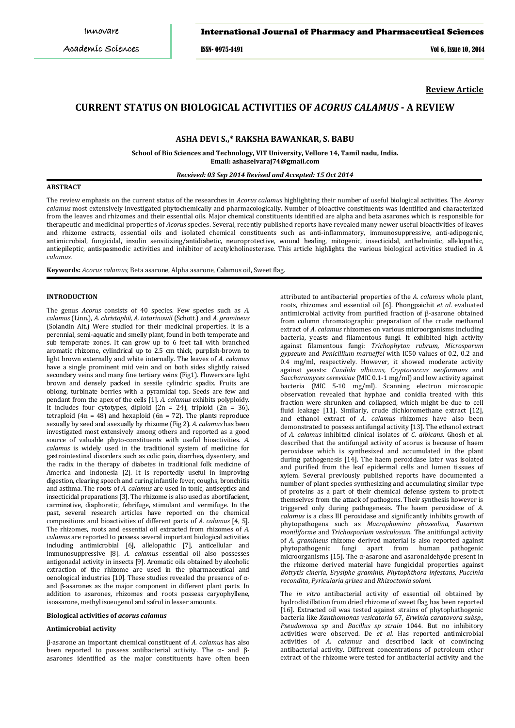## International Journal of Pharmacy and Pharmaceutical Sciences

ISSN- 0975-1491 Vol 6, Issue 10, 2014

**Review Article**

# **CURRENT STATUS ON BIOLOGICAL ACTIVITIES OF** *ACORUS CALAMUS* **- A REVIEW**

### **ASHA DEVI S.,\* RAKSHA BAWANKAR, S. BABU**

**School of Bio Sciences and Technology, VIT University, Vellore 14, Tamil nadu, India. Email: ashaselvaraj74@gmail.com**

#### *Received: 03 Sep 2014 Revised and Accepted: 15 Oct 2014*

### **ABSTRACT**

The review emphasis on the current status of the researches in *Acorus calamus* highlighting their number of useful biological activities. The *Acorus calamus* most extensively investigated phytochemically and pharmacologically. Number of bioactive constituents was identified and characterized from the leaves and rhizomes and their essential oils. Major chemical constituents identified are alpha and beta asarones which is responsible for therapeutic and medicinal properties of *Acorus* species. Several, recently published reports have revealed many newer useful bioactivities of leaves and rhizome extracts, essential oils and isolated chemical constituents such as anti-inflammatory, immunosuppressive, anti-adipogenic, antimicrobial, fungicidal, insulin sensitizing/antidiabetic, neuroprotective, wound healing, mitogenic, insecticidal, anthelmintic, allelopathic, antiepileptic, antispasmodic activities and inhibitor of acetylcholinesterase. This article highlights the various biological activities studied in *A. calamus.*

**Keywords:** *Acorus calamus*, Beta asarone, Alpha asarone, Calamus oil, Sweet flag.

## **INTRODUCTION**

The genus *Acorus* consists of 40 species. Few species such as *A. calamus* (Linn.), *A. christophii, A. tatarinowii* (Schott.) and *A. gramineus* (Solandin Ait.) Were studied for their medicinal properties. It is a perennial, semi-aquatic and smelly plant, found in both temperate and sub temperate zones. It can grow up to 6 feet tall with branched aromatic rhizome, cylindrical up to 2.5 cm thick, purplish-brown to light brown externally and white internally. The leaves of *A. calamus* have a single prominent mid vein and on both sides slightly raised secondary veins and many fine tertiary veins (Fig1). Flowers are light brown and densely packed in sessile cylindric spadix. Fruits are oblong, turbinate berries with a pyramidal top. Seeds are few and pendant from the apex of the cells [1]. *A. calamus* exhibits polyploidy. It includes four cytotypes, diploid  $(2n = 24)$ , triploid  $(2n = 36)$ , tetraploid  $(4n = 48)$  and hexaploid  $(6n = 72)$ . The plants reproduce sexually by seed and asexually by rhizome (Fig 2). *A. calamus* has been investigated most extensively among others and reported as a good source of valuable phyto-constituents with useful bioactivities. *A. calamus* is widely used in the traditional system of medicine for gastrointestinal disorders such as colic pain, diarrhea, dysentery, and the radix in the therapy of diabetes in traditional folk medicine of America and Indonesia [2]. It is reportedly useful in improving digestion, clearing speech and curing infantile fever, coughs, bronchitis and asthma. The roots of *A. calamus* are used in tonic, antiseptics and insecticidal preparations [3]. The rhizome is also used as abortifacient, carminative, diaphoretic, febrifuge, stimulant and vermifuge. In the past, several research articles have reported on the chemical compositions and bioactivities of different parts of *A. calamus* [4, 5]. The rhizomes, roots and essential oil extracted from rhizomes of *A. calamus* are reported to possess several important biological activities including antimicrobial [6], allelopathic [7]*,* anticellular and immunosuppressive [8]. *A. calamus* essential oil also possesses antigonadal activity in insects [9]. Aromatic oils obtained by alcoholic extraction of the rhizome are used in the pharmaceutical and oenological industries [10]. These studies revealed the presence of αand β-asarones as the major component in different plant parts. In addition to asarones, rhizomes and roots possess caryophyllene, isoasarone, methyl isoeugenol and safrol in lesser amounts.

#### **Biological activities of** *acorus calamus*

### **Antimicrobial activity**

β-asarone an important chemical constituent of *A. calamus* has also been reported to possess antibacterial activity. The α- and βasarones identified as the major constituents have often been attributed to antibacterial properties of the *A. calamus* whole plant, roots, rhizomes and essential oil [6]. Phongpaichit *et al*. evaluated antimicrobial activity from purified fraction of β-asarone obtained from column chromatographic preparation of the crude methanol extract of *A. calamus* rhizomes on various microorganisms including bacteria, yeasts and filamentous fungi. It exhibited high activity against filamentous fungi: *Trichophyton rubrum, Microsporum gypseum* and *Penicillium marneffei* with IC50 values of 0.2, 0.2 and 0.4 mg/ml, respectively. However, it showed moderate activity against yeasts: *Candida albicans, Cryptococcus neoformans* and *Saccharomyces cerevisiae* (MIC 0.1-1 mg/ml) and low activity against bacteria (MIC 5-10 mg/ml). Scanning electron microscopic observation revealed that hyphae and conidia treated with this fraction were shrunken and collapsed, which might be due to cell fluid leakage [11]. Similarly, crude dichloromethane extract [12], and ethanol extract of *A. calamus* rhizomes have also been demonstrated to possess antifungal activity [13]. The ethanol extract of *A. calamus* inhibited clinical isolates of *C. albicans.* Ghosh et al. described that the antifungal activity of acorus is because of haem peroxidase which is synthesized and accumulated in the plant during pathogenesis [14]. The haem peroxidase later was isolated and purified from the leaf epidermal cells and lumen tissues of xylem. Several previously published reports have documented a number of plant species synthesizing and accumulating similar type of proteins as a part of their chemical defense system to protect themselves from the attack of pathogens. Their synthesis however is triggered only during pathogenesis. The haem peroxidase of *A. calamus* is a class III peroxidase and significantly inhibits growth of phytopathogens such as *Macrophomina phaseolina*, *Fusarium moniliforme* and *Trichosporium vesiculosum*. The anitifungal activity of *A. gramineus* rhizome derived material is also reported against phytopathogenic fungi apart from human pathogenic microorganisms [15]. The α-asarone and asaronaldehyde present in the rhizome derived material have fungicidal properties against *Botrytis cineria*, *Erysiphe graminis*, *Phytophthora infestans*, *Puccinia recondita*, *Pyricularia grisea* and *Rhizoctonia solani*.

The *in vitro* antibacterial activity of essential oil obtained by hydrodistillation from dried rhizome of sweet flag has been reported [16]. Extracted oil was tested against strains of phytophathogenic bacteria like *Xanthomonas vesicatoria* 67, *Erwinia caratovora subsp., Pseudomona sp* and *Bacillus sp strain* 1044. But no inhibitory activities were observed. De *et al.* Has reported antimicrobial activities of *A. calamus* and described lack of convincing antibacterial activity. Different concentrations of petroleum ether extract of the rhizome were tested for antibacterial activity and the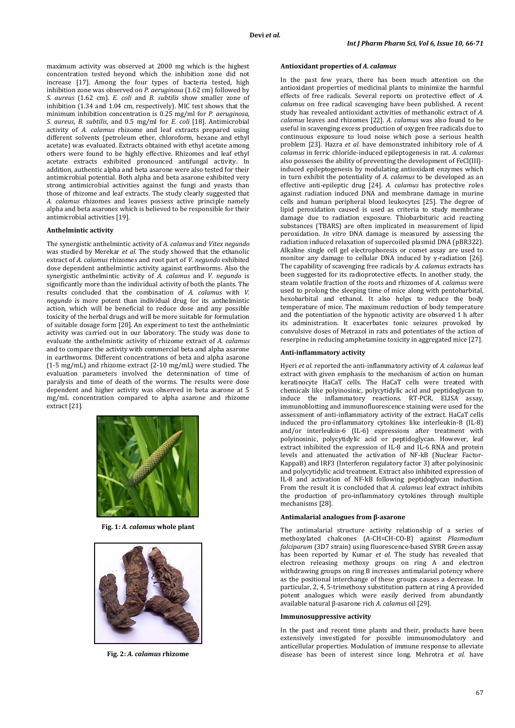maximum activity was observed at 2000 mg which is the highest concentration tested beyond which the inhibition zone did not increase [17]. Among the four types of bacteria tested, high inhibition zone was observed on *P. aeruginosa* (1.62 cm) followed by *S. aureus* (1.62 cm). *E. coli* and *B. subtilis* show smaller zone of inhibition (1.34 and 1.04 cm, respectively). MIC test shows that the minimum inhibition concentration is 0.25 mg/ml for *P. aeruginosa*, *S. aureus*, *B. subtilis*, and 0.5 mg/ml for *E. coli* [18]. Antimicrobial activity of *A. calamus* rhizome and leaf extracts prepared using different solvents (petroleum ether, chloroform, hexane and ethyl acetate) was evaluated. Extracts obtained with ethyl acetate among others were found to be highly effective. Rhizomes and leaf ethyl acetate extracts exhibited pronounced antifungal activity. In addition, authentic alpha and beta asarone were also tested for their antimicrobial potential. Both alpha and beta asarone exhibited very strong antimicrobial activities against the fungi and yeasts than those of rhizome and leaf extracts. The study clearly suggested that *A. calamus* rhizomes and leaves possess active principle namely alpha and beta asarones which is believed to be responsible for their antimicrobial activities [19].

#### **Anthelmintic activity**

The synergistic anthelmintic activity of *A. calamus* and *Vitex negundo* was studied by Merekar *et al.* The study showed that the ethanolic extract of *A. calamus* rhizomes and root part of *V. negundo* exhibited dose dependent anthelmintic activity against earthworms. Also the synergistic anthelmintic activity of *A. calamus* and *V. negundo* is significantly more than the individual activity of both the plants. The results concluded that the combination of *A. calamus* with *V. negundo* is more potent than individual drug for its anthelmintic action, which will be beneficial to reduce dose and any possible toxicity of the herbal drugs and will be more suitable for formulation of suitable dosage form [20]. An experiment to test the anthelmintic activity was carried out in our laboratory. The study was done to evaluate the anthelmintic activity of rhizome extract of *A. calamus* and to compare the activity with commercial beta and alpha asarone in earthworms. Different concentrations of beta and alpha asarone (1-5 mg/mL) and rhizome extract (2-10 mg/mL) were studied. The evaluation parameters involved the determination of time of paralysis and time of death of the worms. The results were dose dependent and higher activity was observed in beta asarone at 5 mg/mL concentration compared to alpha asarone and rhizome extract [21].



**Fig. 1:** *A. calamus* **whole plant**



**Fig. 2:** *A. calamus* **rhizome**

## **Antioxidant properties of** *A. calamus*

In the past few years, there has been much attention on the antioxidant properties of medicinal plants to minimize the harmful effects of free radicals. Several reports on protective effect of *A. calamus* on free radical scavenging have been published. A recent study has revealed antioxidant activities of methanolic extract of *A. calamus* leaves and rhizomes [22]. *A. calamus* was also found to be useful in scavenging excess production of oxygen free radicals due to continuous exposure to loud noise which pose a serious health problem [23]. Hazra *et al.* have demonstrated inhibitory role of *A. calamus* in ferric chloride-induced epileptogenesis in rat. *A. calamus* also possesses the ability of preventing the development of FeCl(III) induced epileptogenesis by modulating antioxidant enzymes which in turn exhibit the potentiality of *A. calamus* to be developed as an effective anti-epileptic drug [24]. *A. calamus* has protective roles against radiation induced DNA and membrane damage in murine cells and human peripheral blood leukocytes [25]. The degree of lipid peroxidation caused is used as criteria to study membrane damage due to radiation exposure. Thiobarbituric acid reacting substances (TBARS) are often implicated in measurement of lipid peroxidation. *In vitro* DNA damage is measured by assessing the radiation induced relaxation of supercoiled plasmid DNA (pBR322). Alkaline single cell gel electrophoresis or comet assay are used to monitor any damage to cellular DNA induced by γ-radiation [26]. The capability of scavenging free radicals by *A. calamus* extracts has been suggested for its radioprotective effects. In another study, the steam volatile fraction of the roots and rhizomes of *A. calamus* were used to prolong the sleeping time of mice along with pentobarbital, hexobarbital and ethanol. It also helps to reduce the body temperature of mice. The maximum reduction of body temperature and the potentiation of the hypnotic activity are observed 1 h after its administration. It exacerbates tonic seizures provoked by convulsive doses of Metrazol in rats and potentiates of the action of reserpine in reducing amphetamine toxicity in aggregated mice [27].

#### **Anti-inflammatory activity**

Hyeri *et al.* reported the anti-inflammatory activity of *A. calamus* leaf extract with given emphasis to the mechanism of action on human keratinocyte HaCaT cells. The HaCaT cells were treated with chemicals like polyinosinic, polycytidylic acid and peptidoglycan to induce the inflammatory reactions. RT-PCR, ELISA assay, immunoblotting and immunofluorescence staining were used for the assessment of anti-inflammatory activity of the extract. HaCaT cells induced the pro-inflammatory cytokines like interleukin-8 (IL-8) and/or interleukin-6 (IL-6) expressions after treatment with polyinosinic, polycytidylic acid or peptidoglycan. However, leaf extract inhibited the expression of IL-8 and IL-6 RNA and protein levels and attenuated the activation of NF-kB (Nuclear Factor-KappaB) and IRF3 (Interferon regulatory factor 3) after polyinosinic and polycytidylic acid treatment. Extract also inhibited expression of IL-8 and activation of NF-kB following peptidoglycan induction. From the result it is concluded that *A. calamus* leaf extract inhibits the production of pro-inflammatory cytokines through multiple mechanisms [28].

#### **Antimalarial analogues from β-asarone**

The antimalarial structure activity relationship of a series of methoxylated chalcones (A-CH=CH-CO-B) against *Plasmodium falciparum* (3D7 strain) using fluorescence-based SYBR Green assay has been reported by Kumar *et al.* The study has revealed that electron releasing methoxy groups on ring A and electron withdrawing groups on ring B increases antimalarial potency where as the positional interchange of these groups causes a decrease. In particular, 2, 4, 5-trimethoxy substitution pattern at ring A provided potent analogues which were easily derived from abundantly available natural β-asarone rich *A. calamus* oil [29].

#### **Immunosuppressive activity**

In the past and recent time plants and their, products have been extensively investigated for possible immunomodulatory and anticellular properties. Modulation of immune response to alleviate disease has been of interest since long. Mehrotra *et al.* have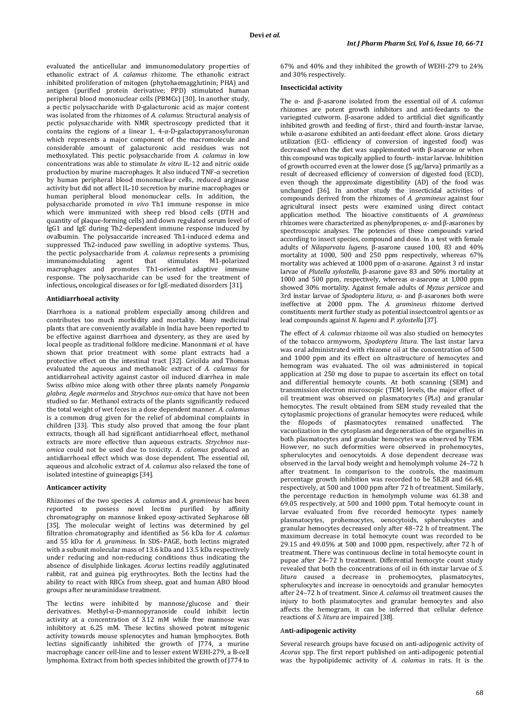evaluated the anticellular and immunomodulatory properties of ethanolic extract of *A. calamus* rhizome. The ethanolic extract inhibited proliferation of mitogen (phytohaemagglutinin; PHA) and antigen (purified protein derivative; PPD) stimulated human peripheral blood mononuclear cells (PBMCs) [30]. In another study, a pectic polysaccharide with D-galacturonic acid as major content was isolated from the rhizomes of *A. calamus*. Structural analysis of pectic polysaccharide with NMR spectroscopy predicted that it contains the regions of a linear 1,  $4-\alpha$ -D-galactopyranosyluronan which represents a major component of the macromolecule and considerable amount of galacturonic acid residues was not methoxylated. This pectic polysaccharide from *A. calamus* in low concentrations was able to stimulate *In vitro* IL-12 and nitric oxide production by murine macrophages. It also induced TNF-α secretion by human peripheral blood mononuclear cells, reduced arginase activity but did not affect IL-10 secretion by murine macrophages or human peripheral blood mononuclear cells. In addition, the polysaccharide promoted *in vivo* Th1 immune response in mice which were immunized with sheep red blood cells (DTH and quantity of plaque-forming cells) and down regulated serum level of IgG1 and IgЕ during Th2-dependent immune response induced by ovalbumin. The polysaccaride increased Th1-induced edema and suppressed Th2-induced paw swelling in adoptive systems. Thus, the pectic polysaccharide from *A. calamus* represents a promising immunomodulating agent that stimulates M1-polarized macrophages and promotes Th1-oriented adaptive immune response. The polysaccharide can be used for the treatment of infectious**,** oncological diseases or for IgE-mediated disorders [31].

### **Antidiarrhoeal activity**

Diarrhoea is a national problem especially among children and contributes too much morbidity and mortality. Many medicinal plants that are conveniently available in India have been reported to be effective against diarrhoea and dysentery, as they are used by local people as traditional folklore medicine. Manonmani *et al.* have shown that prior treatment with some plant extracts had a protective effect on the intestinal tract [32]. Gricilda and Thomas evaluated the aqueous and methanolic extract of *A. calamus* for antidiarroheal activity against castor oil induced diarrhea in male Swiss *albino* mice along with other three plants namely *Pongamia glabra*, *Aegle marmelos* and *Strychnos nux*-*omica* that have not been studied so far. Methanol extracts of the plants significantly reduced the total weight of wet feces in a dose dependent manner. *A. calamus* is a common drug given for the relief of abdominal complaints in children [33]. This study also proved that among the four plant extracts, though all had significant antidiarrhoeal effect, methanol extracts are more effective than aqueous extracts. *Strychnos nuxomica* could not be used due to toxicity. *A. calamus* produced an antidiarrhoeal effect which was dose dependent. The essential oil, aqueous and alcoholic extract of *A. calamus* also relaxed the tone of isolated intestine of guineapigs [34].

### **Anticancer activity**

Rhizomes of the two species *A. calamus* and *A. gramineus* has been reported to possess novel lectins purified by affinity chromatography on mannose linked epoxy-activated Sepharose 6B [35]. The molecular weight of lectins was determined by gel filtration chromatography and identified as 56 kDa for *A. calamus* and 55 kDa for *A. gramineus*. In SDS–PAGE, both lectins migrated with a subunit molecular mass of 13.6 kDa and 13.5 kDa respectively under reducing and non-reducing conditions thus indicating the absence of disulphide linkages. *Acorus* lectins readily agglutinated rabbit, rat and guinea pig erythrocytes. Both the lectins had the ability to react with RBCs from sheep, goat and human ABO blood groups after neuraminidase treatment.

The lectins were inhibited by mannose/glucose and their derivatives. Methyl-α-D-mannopyranoside could inhibit lectin activity at a concentration of 3.12 mM while free mannose was inhibitory at 6.25 mM. These lectins showed potent mitogenic activity towards mouse splenocytes and human lymphocytes. Both lectins significantly inhibited the growth of J774, a murine macrophage cancer cell-line and to lesser extent WEHI-279, a B-cell lymphoma. Extract from both species inhibited the growth of J774 to 67% and 40% and they inhibited the growth of WEHI-279 to 24% and 30% respectively.

### **Insecticidal activity**

The α- and β-asarone isolated from the essential oil of *A. calamus* rhizomes are potent growth inhibitors and anti-feedants to the variegated cutworm. β-asarone added to artificial diet significantly inhibited growth and feeding of first-, third and fourth-instar larvae, while α-asarone exhibited an anti-feedant effect alone. Gross dietary utilization (ECI- efficiency of conversion of ingested food) was decreased when the diet was supplemented with β-asarone or when this compound was topically applied to fourth- instar larvae. Inhibition of growth occurred even at the lower dose (5 µg/larva) primarily as a result of decreased efficiency of conversion of digested food (ECD), even though the approximate digestibility (AD) of the food was unchanged [36]. In another study the insecticidal activities of compounds derived from the rhizomes of *A. gramineus* against four agricultural insect pests were examined using direct contact application method. The bioactive constituents of *A. gramineus* rhizomes were characterized as phenylpropenes, α- and β-asarones by spectroscopic analyses. The potencies of these compounds varied according to insect species, compound and dose. In a test with female adults of *Nilaparvata lugens*, β-asarone caused 100, 83 and 40% mortality at 1000, 500 and 250 ppm respectively, whereas 67% mortality was achieved at 1000 ppm of α-asarone. Against 3 rd instar larvae of *Plutella xylostella*, β-asarone gave 83 and 50% mortality at 1000 and 500 ppm, respectively, whereas α-asarone at 1,000 ppm showed 30% mortality. Against female adults of *Myzus persicae* and 3rd instar larvae of *Spodoptera litura*, α- and β-asarones both were ineffective at 2000 ppm. The *A. gramineus* rhizome derived constituents merit further study as potential insectcontrol agents or as lead compounds against *N. lugens* and *P. xylostella* [37].

The effect of *A. calamus* rhizome oil was also studied on hemocytes of the tobacco armyworm, *Spodoptera litura*. The last instar larva was oral administrated with rhizome oil at the concentration of 500 and 1000 ppm and its effect on ultrastructure of hemocytes and hemogram was evaluated. The oil was administered in topical application at 250 mg dose to pupae to ascertain its effect on total and differential hemocyte counts. At both scanning (SEM) and transmission electron microscopic (TEM) levels, the major effect of oil treatment was observed on plasmatocytes (PLs) and granular hemocytes. The result obtained from SEM study revealed that the cytoplasmic projections of granular hemocytes were reduced, while the filopods of plasmatocytes remained unaffected. The vacuolization in the cytoplasm and degeneration of the organelles in both plasmatocytes and granular hemocytes was observed by TEM. However, no such deformities were observed in prohemocytes, spherulocytes and oenocytoids. A dose dependent decrease was observed in the larval body weight and hemolymph volume 24–72 h after treatment. In comparison to the controls, the maximum percentage growth inhibition was recorded to be 58.28 and 66.48, respectively, at 500 and 1000 ppm after 72 h of treatment. Similarly, the percentage reduction in hemolymph volume was 61.38 and 69.05 respectively, at 500 and 1000 ppm. Total hemocyte count in larvae evaluated from five recorded hemocyte types namely plasmatocytes, prohemocytes, oenocytoids, spherulocytes and granular hemocytes decreased only after 48–72 h of treatment. The maximum decrease in total hemocyte count was recorded to be 29.15 and 49.05% at 500 and 1000 ppm, respectively, after 72 h of treatment. There was continuous decline in total hemocyte count in pupae after 24–72 h treatment. Differential hemocyte count study revealed that both the concentrations of oil in 6th instar larvae of *S. litura* caused a decrease in prohemocytes, plasmatocytes, spherulocytes and increase in oenocytoids and granular hemocytes after 24–72 h of treatment. Since *A. calamus* oil treatment causes the injury to both plasmatocytes and granular hemocytes and also affects the hemogram, it can be inferred that cellular defence reactions of *S. litura* are impaired [38].

#### A**nti-adipogenic activity**

Several research groups have focused on anti-adipogenic activity of *Acorus* spp. The first report published on anti-adipogenic potential was the hypolipidemic activity of *A. calamus* in rats. It is the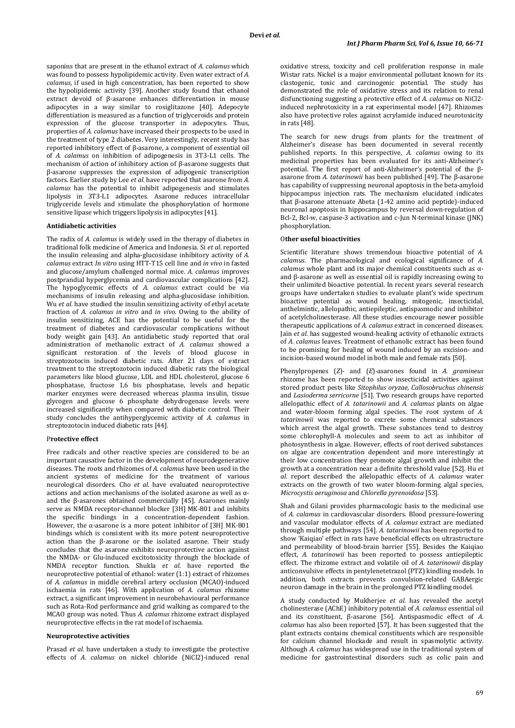saponins that are present in the ethanol extract of *A. calamus* which was found to possess hypolipidemic activity. Even water extract of *A. calamus,* if used in high concentration, has been reported to show the hypolipidemic activity [39]. Another study found that ethanol extract devoid of β-asarone enhances differentiation in mouse adipocytes in a way similar to rosiglitazone [40]. Adepocyte differentiation is measured as a function of triglyceroids and protein expression of the glucose transporter in adepocytes. Thus, properties of *A. calamus* have increased their prospects to be used in the treatment of type 2 diabetes. Very interestingly, recent study has reported inhibitory effect of β-asarone, a component of essential oil of *A. calamus* on inhibition of adipogenesis in 3T3-L1 cells. The mechanism of action of inhibitory action of β-asarone suggests that β-asarone suppresses the expression of adipogenic transcription factors. Earlier study by Lee *et al.* have reported that asarone from *A. calamus* has the potential to inhibit adipogenesis and stimulates lipolysis in 3T3-L1 adipocytes. Asarone reduces intracellular triglyceride levels and stimulate the phosphorylation of hormone sensitive lipase which triggers lipolysis in adipocytes [41].

### **Antidiabetic activities**

The radix of *A. calamus* is widely used in the therapy of diabetes in traditional folk medicine of America and Indonesia. Si *et al*. reported the insulin releasing and alpha-glucosidase inhibitory activity of *A. calamus* extract *In vitro* using HTT-T15 cell line and *in vivo* in fasted and glucose/amylum challenged normal mice. *A. calamus* improves postprandial hyperglycemia and cardiovascular complications [42]. The hypoglycemic effects of *A. calamus* extract could be via mechanisms of insulin releasing and alpha-glucosidase inhibition. Wu *et al*. have studied the insulin sensitizing activity of ethyl acetate fraction of *A. calamus in vitro* and *in vivo.* Owing to the ability of insulin sensitizing, ACE has the potential to be useful for the treatment of diabetes and cardiovascular complications without body weight gain [43]. An antidiabetic study reported that oral administration of methanolic extract of *A. calamus* showed a significant restoration of the levels of blood glucose in streptozotocin induced diabetic rats. After 21 days of extract treatment to the streptozotocin induced diabetic rats the biological parameters like blood glucose, LDL and HDL cholesterol, glucose 6 phosphatase, fructose 1,6 bis phosphatase, levels and hepatic marker enzymes were decreased whereas plasma insulin, tissue glycogen and glucose 6 phosphate dehydrogenase levels were increased significantly when compared with diabetic control. Their study concludes the antihyperglycemic activity of *A. calamus* in streptozotocin induced diabetic rats [44].

## P**rotective effect**

Free radicals and other reactive species are considered to be an important causative factor in the development of neurodegenerative diseases. The roots and rhizomes of *A. calamus* have been used in the ancient systems of medicine for the treatment of various neurological disorders. Cho *et al.* have evaluated neuroprotective actions and action mechanisms of the isolated asarone as well as αand the β-asarones obtained commercially [45]. Asarones mainly serve as NMDA receptor-channel blocker [3H] MK-801 and inhibits the specific bindings in a concentration-dependent fashion. However, the  $\alpha$ -asarone is a more potent inhibitor of [3H] MK-801 bindings which is consistent with its more potent neuroprotective action than the β-asarone or the isolated asarone. Their study concludes that the asarone exhibits neuroprotective action against the NMDA- or Glu-induced excitotoxicity through the blockade of NMDA receptor function. Shukla *et al*. have reported the neuroprotective potential of ethanol: water (1:1) extract of rhizomes of *A. calamus* in middle cerebral artery occlusion (MCAO)-induced ischaemia in rats [46]. With application of *A. calamus* rhizome extract, a significant improvement in neurobehavioural performance such as Rota-Rod performance and grid walking as compared to the MCAO group was noted. Thus *A. calamus* rhizome extract displayed neuroprotective effects in the rat model of ischaemia.

### **Neuroprotective activities**

Prasad *et al*. have undertaken a study to investigate the protective effects of *A. calamus* on nickel chloride (NiCl2)-induced renal oxidative stress, toxicity and cell proliferation response in male Wistar rats. Nickel is a major environmental pollutant known for its clastogenic, toxic and carcinogenic potential. The study has demonstrated the role of oxidative stress and its relation to renal disfunctioning suggesting a protective effect of *A. calamus* on NiCl2 induced nephrotoxicity in a rat experimental model [47]. Rhizomes also have protective roles against acrylamide induced neurotoxicity in rats [48].

The search for new drugs from plants for the treatment of Alzheimer's disease has been documented in several recently published reports. In this perspective, *A. calamus* owing to its medicinal properties has been evaluated for its anti-Alzheimer's potential. The first report of anti-Alzheimer's potential of the βasarone from *A. tatarinowii* has been published [49]. The β-asarone has capability of suppressing neuronal apoptosis in the beta-amyloid hippocampus injection rats. The mechanism elucidated indicates that β**-**asarone attenuate Abeta (1-42 amino acid peptide)-induced neuronal apoptosis in hippocampus by reversal down-regulation of Bcl-2, Bcl-w, caspase-3 activation and c-Jun N-terminal kinase (JNK) phosphorylation.

#### O**ther useful bioactivities**

Scientific literature shows tremendous bioactive potential of *A. calamus*. The pharmacological and ecological significance of *A. calamus* whole plant and its major chemical constituents such as αand β-asarone as well as essential oil is rapidly increasing owing to their unlimited bioactive potential. In recent years several research groups have undertaken studies to evaluate plant's wide spectrum bioactive potential as wound healing, mitogenic, insecticidal, anthelmintic, allelopathic, antiepileptic, antispasmodic and inhibitor of acetylcholinesterase. All these studies encourage newer possible therapeutic applications of *A. calamus* extract in concerned diseases. Jain *et al*. has suggested wound-healing activity of ethanolic extracts of *A. calamus* leaves. Treatment of ethanolic extract has been found to be promising for healing of wound induced by an excision- and incision-based wound model in both male and female rats [50].

Phenylpropenes (*Z*)- and (*E*)-asarones found in *A. gramineus* rhizome has been reported to show insecticidal activities against stored product pests like *Sitophilus oryzae, Callosobruchus chinensis* and *Lasioderma serricorne* [51]. Two research groups have reported allelopathic effect of *A. tatarinowii* and *A. calamus* plants on algae and water-bloom forming algal species. The root system of *A. tatarinowii* was reported to excrete some chemical substances which arrest the algal growth. These substances tend to destroy some chlorophyll-A molecules and seem to act as inhibitor of photosynthesis in algae. However, effects of root derived substances on algae are concentration dependent and more interestingly at their low concentration they promote algal growth and inhibit the growth at a concentration near a definite threshold value [52]. Hu *et al.* report described the allelopathic effects of *A. calamus* water extracts on the growth of two water bloom-forming algal species, *Microcystis aeruginosa* and *Chlorella pyrenoidosa* [53].

Shah and Gilani provides pharmacologic basis to the medicinal use of *A. calamus* in cardiovascular disorders. Blood pressure-lowering and vascular modulator effects of *A. calamus* extract are mediated through multiple pathways [54]. *A. tatarinowii* has been reported to show 'Kaiqiao' effect in rats have beneficial effects on ultrastructure and permeability of blood-brain barrier [55]. Besides the Kaiqiao effect, *A*. *tatarinowii* has been reported to possess antiepileptic effect. The rhizome extract and volatile oil of *A. tatarinowii* display anticonvulsive effects in pentylenetetrazol (PTZ) kindling models. In addition, both extracts prevents convulsion-related GABAergic neuron damage in the brain in the prolonged PTZ kindling model.

A study conducted by Mukherjee *et al.* has revealed the acetyl cholinesterase (AChE) inhibitory potential of *A. calamus* essential oil and its constituent, β-asarone [56]. Antispasmodic effect of *A. calamus* has also been reported [57]. It has been suggested that the plant extracts contains chemical constituents which are responsible for calcium channel blockade and result in spasmolytic activity. Although *A. calamus* has widespread use in the traditional system of medicine for gastrointestinal disorders such as colic pain and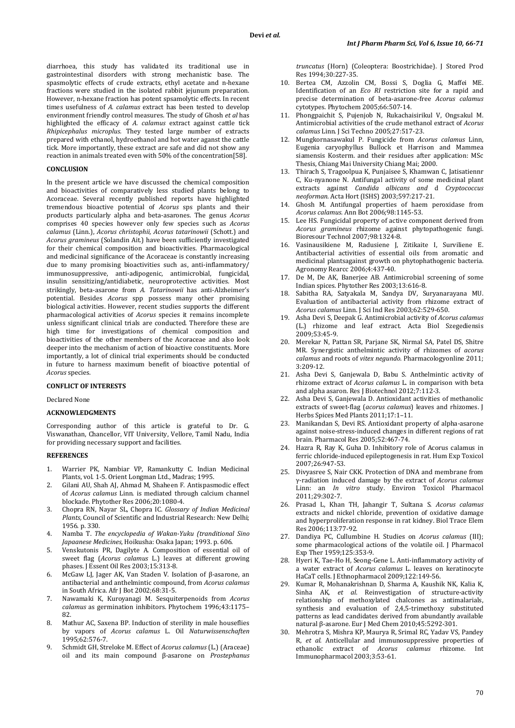diarrhoea, this study has validated its traditional use in gastrointestinal disorders with strong mechanistic base. The spasmolytic effects of crude extracts, ethyl acetate and n-hexane fractions were studied in the isolated rabbit jejunum preparation. However, n-hexane fraction has potent spsamolytic effects. In recent times usefulness of *A. calamus* extract has been tested to develop environment friendly control measures. The study of Ghosh *et al* has highlighted the efficacy of *A. calamus* extract against cattle tick *Rhipicephalus microplus.* They tested large number of extracts prepared with ethanol, hydroethanol and hot water aganst the cattle tick. More importantly, these extract are safe and did not show any reaction in animals treated even with 50% of the concentration[58].

### **CONCLUSION**

In the present article we have discussed the chemical composition and bioactivities of comparatively less studied plants belong to Acoraceae. Several recently published reports have highlighted tremendous bioactive potential of *Acorus* sps plants and their products particularly alpha and beta-asarones. The genus *Acorus* comprises 40 species however only few species such as *Acorus calamus* (Linn.), *Acorus christophii, Acorus tatarinowii* (Schott.) and *Acorus gramineus* (Solandin Ait.) have been sufficiently investigated for their chemical composition and bioactivities. Pharmacological and medicinal significance of the Acoraceae is constantly increasing due to many promising bioactivities such as, anti-inflammatory/ immunosuppressive, anti-adipogenic, antimicrobial, fungicidal, insulin sensitizing/antidiabetic, neuroprotective activities. Most strikingly, beta-asarone from *A. Tatarinowii* has anti-Alzheimer's potential. Besides *Acorus* spp possess many other promising biological activities. However, recent studies supports the different pharmacological activities of *Acorus* species it remains incomplete unless significant clinical trials are conducted. Therefore these are high time for investigations of chemical composition and bioactivities of the other members of the Acoraceae and also look deeper into the mechanism of action of bioactive constituents. More importantly, a lot of clinical trial experiments should be conducted in future to harness maximum benefit of bioactive potential of *Acorus* species.

## **CONFLICT OF INTERESTS**

Declared None

### **ACKNOWLEDGMENTS**

Corresponding author of this article is grateful to Dr. G. Viswanathan, Chancellor, VIT University, Vellore, Tamil Nadu, India for providing necessary support and facilities.

### **REFERENCES**

- 1. Warrier PK, Nambiar VP, Ramankutty C. Indian Medicinal Plants, vol. 1-5. Orient Longman Ltd., Madras; 1995.
- 2. Gilani AU, Shah AJ, Ahmad M, Shaheen F. Antispasmodic effect of *Acorus calamus* Linn. is mediated through calcium channel blockade. Phytother Res 2006;20:1080-4.
- 3. Chopra RN, Nayar SL, Chopra IC. *Glossary of Indian Medicinal Plants,* Council of Scientific and Industrial Research: New Delhi; 1956. p. 330.
- 4. Namba T. *The encyclopedia of Wakan-Yuku (tranditional Sino Japaanese Medicines*, Hoikusha: Osaka Japan; 1993. p. 606.
- 5. Venskutonis PR, Dagilyte A. Composition of essential oil of sweet flag (*Acorus calamus* L.) leaves at different growing phases. J Essent Oil Res 2003;15:313-8.
- 6. McGaw LJ, Jager AK, Van Staden V. Isolation of β-asarone, an antibacterial and anthelmintic compound, from *Acorus calamus* in South Africa. Afr J Bot 2002;68:31-5.
- 7. Nawamaki K, Kuroyanagi M. Sesquiterpenoids from *Acorus calamus* as germination inhibitors. Phytochem 1996;43:1175– 82.
- 8. Mathur AC, Saxena BP. Induction of sterility in male houseflies by vapors of *Acorus calamus* L. Oil *Naturwissenschaften* 1995;62:576-7.
- 9. Schmidt GH, Streloke M. Effect of *Acorus calamus* (L.) (Araceae) oil and its main compound β-asarone on *Prostephanus*

*truncatus* (Horn) (Coleoptera: Boostrichidae). J Stored Prod Res 1994;30:227-35.

- 10. Bertea CM, Azzolin CM, Bossi S, Doglia G, Maffei ME. Identification of an *Eco RI* restriction site for a rapid and precise determination of beta-asarone-free *Acorus calamus* cytotypes. Phytochem 2005;66:507-14.
- 11. Phongpaichit S, Pujenjob N, Rukachaisirikul V, Ongsakul M. Antimicrobial activities of the crude methanol extract of *Acorus calamus* Linn. J Sci Techno 2005;27:517-23.
- 12. Mungkornasawakul P. Fungicide from *Acorus calamus* Linn, Eugenia caryophyllus Bullock et Harrison and Mammea siamensis Kosterm. and their residues after application: MSc Thesis, Chiang Mai University Chiang Mai; 2000.
- 13. Thirach S, Tragoolpua K, Punjaisee S, Khamwan C, Jatisatiennr C, Ku-nyanone N. Antifungal activity of some medicinal plant extracts against *Candida albicans and* d *Cryptococcus neoforman*. Acta Hort (ISHS) 2003;597:217-21.
- 14. Ghosh M. Antifungal properties of haem peroxidase from *Acorus calamus.* Ann Bot 2006;98:1145-53.
- 15. Lee HS. Fungicidal property of active component derived from *Acorus gramineus* rhizome against phytopathogenic fungi. Bioresour Technol 2007;98:1324-8.
- 16. Vasinausikiene M, Radusiene J, Zitikaite I, Surviliene E. Antibacterial activities of essential oils from aromatic and medicinal plantsagainst growth on phytophathogenic bacteria. Agronomy Rearcc 2006;4:437-40.
- 17. De M, De AK, Banerjee AB. Antimicrobial screening of some Indian spices. Phytother Res 2003;13:616-8.
- 18. Sabitha RA, Satyakala M, Sandya DV, Suryanarayana MU. Evaluation of antibacterial activity from rhizome extract of *Acorus calamus* Linn. J Sci Ind Res 2003;62:529-650.
- 19. Asha Devi S, Deepak G. Antimicrobial activity of *Acorus calamus* (L.) rhizome and leaf extract. Acta Biol Szegediensis 2009;53:45-9.
- 20. Merekar N, Pattan SR, Parjane SK, Nirmal SA, Patel DS, Shitre MR. Synergistic anthelmintic activity of rhizomes of *acorus calamus* and roots of *vitex negundo.* Pharmacologyonline 2011; 3:209-12.
- 21. Asha Devi S, Ganjewala D, Babu S. Anthelmintic activity of rhizome extract of *Acorus calamus* L. in comparison with beta and alpha asaron. Res J Biotechnol 2012;7:112-3.
- 22. Asha Devi S, Ganjewala D. Antioxidant activities of methanolic extracts of sweet-flag (*acorus calamus*) leaves and rhizomes. J Herbs Spices Med Plants 2011;17:1–11.
- 23. Manikandan S, Devi RS. Antioxidant property of alpha-asarone against noise-stress-induced changes in different regions of rat brain. Pharmacol Res 2005;52:467-74.
- 24. Hazra R, Ray K, Guha D. Inhibitory role of Acorus calamus in ferric chloride-induced epileptogenesis in rat. Hum Exp Toxicol 2007;26:947-53.
- 25. Divyasree S, Nair CKK. Protection of DNA and membrane from γ-radiation induced damage by the extract of *Acorus calamus* Linn: an *In vitro* study. Environ Toxicol Pharmacol 2011;29:302-7.
- 26. Prasad L, Khan TH, Jahangir T, Sultana S. *Acorus calamus* extracts and nickel chloride, prevention of oxidative damage and hyperproliferation response in rat kidney. Biol Trace Elem Res 2006;113:77-92.
- 27. Dandiya PC, Cullumbine H. Studies on *Acorus calamus* (III); some pharmacological actions of the volatile oil. J Pharmacol Exp Ther 1959;125:353-9.
- 28. Hyeri K, Tae-Ho H, Seong-Gene L. Anti-inflammatory activity of a water extract of *Acorus calamus* L. leaves on keratinocyte HaCaT cells. J Ethnopharmacol 2009;122:149-56.
- 29. Kumar R, Mohanakrishnan D, Sharma A, Kaushik NK, Kalia K, Sinha AK, *et al*. Reinvestigation of structure-activity relationship of methoxylated chalcones as antimalarials, synthesis and evaluation of 2,4,5-trimethoxy substituted patterns as lead candidates derived from abundantly available natural β-asarone. Eur J Med Chem 2010;45:5292-301.
- 30. Mehrotra S, Mishra KP, Maurya R, Srimal RC, Yadav VS, Pandey R, *et al*. Anticellular and immunosuppressive properties of ethanolic extract of *Acorus calamus* rhizome. Int Immunopharmacol 2003;3:53-61.